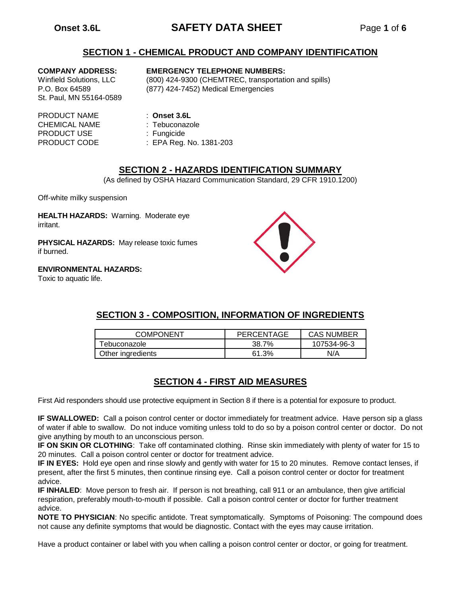# **Onset 3.6L SAFETY DATA SHEET** Page **1** of **6**

### **SECTION 1 - CHEMICAL PRODUCT AND COMPANY IDENTIFICATION**

St. Paul, MN 55164-0589

#### **COMPANY ADDRESS: EMERGENCY TELEPHONE NUMBERS:**

Winfield Solutions, LLC (800) 424-9300 (CHEMTREC, transportation and spills) P.O. Box 64589 (877) 424-7452) Medical Emergencies

- PRODUCT NAME : **Onset 3.6L** CHEMICAL NAME : Tebuconazole PRODUCT USE : Fungicide
	-
	-
	-
- PRODUCT CODE : EPA Reg. No. 1381-203

### **SECTION 2 - HAZARDS IDENTIFICATION SUMMARY**

(As defined by OSHA Hazard Communication Standard, 29 CFR 1910.1200)

Off-white milky suspension

**HEALTH HAZARDS:** Warning. Moderate eye irritant.

**PHYSICAL HAZARDS:** May release toxic fumes if burned.

#### **ENVIRONMENTAL HAZARDS:**

Toxic to aquatic life.



## **SECTION 3 - COMPOSITION, INFORMATION OF INGREDIENTS**

| <b>COMPONENT</b>  | PERCENTAGE | <b>CAS NUMBER</b> |
|-------------------|------------|-------------------|
| Tebuconazole      | 38.7%      | 107534-96-3       |
| Other ingredients | 61 3%      | N/A               |

## **SECTION 4 - FIRST AID MEASURES**

First Aid responders should use protective equipment in Section 8 if there is a potential for exposure to product.

**IF SWALLOWED:** Call a poison control center or doctor immediately for treatment advice. Have person sip a glass of water if able to swallow. Do not induce vomiting unless told to do so by a poison control center or doctor. Do not give anything by mouth to an unconscious person.

**IF ON SKIN OR CLOTHING**: Take off contaminated clothing. Rinse skin immediately with plenty of water for 15 to 20 minutes. Call a poison control center or doctor for treatment advice.

**IF IN EYES:** Hold eye open and rinse slowly and gently with water for 15 to 20 minutes. Remove contact lenses, if present, after the first 5 minutes, then continue rinsing eye. Call a poison control center or doctor for treatment advice.

**IF INHALED**: Move person to fresh air. If person is not breathing, call 911 or an ambulance, then give artificial respiration, preferably mouth-to-mouth if possible. Call a poison control center or doctor for further treatment advice.

**NOTE TO PHYSICIAN**: No specific antidote. Treat symptomatically. Symptoms of Poisoning: The compound does not cause any definite symptoms that would be diagnostic. Contact with the eyes may cause irritation.

Have a product container or label with you when calling a poison control center or doctor, or going for treatment.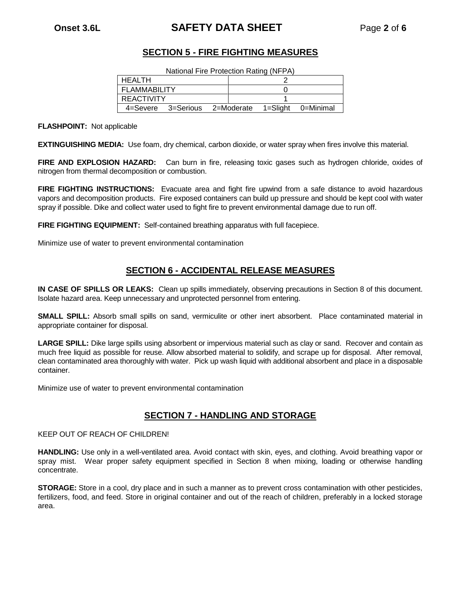# **Onset 3.6L SAFETY DATA SHEET** Page **2** of **6**

### **SECTION 5 - FIRE FIGHTING MEASURES**

| HEALTH              |           |            |          |           |
|---------------------|-----------|------------|----------|-----------|
| <b>FLAMMABILITY</b> |           |            |          |           |
| <b>REACTIVITY</b>   |           |            |          |           |
| 4=Severe            | 3=Serious | 2=Moderate | 1=Sliaht | 0=Minimal |

**FLASHPOINT:** Not applicable

**EXTINGUISHING MEDIA:** Use foam, dry chemical, carbon dioxide, or water spray when fires involve this material.

**FIRE AND EXPLOSION HAZARD:** Can burn in fire, releasing toxic gases such as hydrogen chloride, oxides of nitrogen from thermal decomposition or combustion.

**FIRE FIGHTING INSTRUCTIONS:** Evacuate area and fight fire upwind from a safe distance to avoid hazardous vapors and decomposition products. Fire exposed containers can build up pressure and should be kept cool with water spray if possible. Dike and collect water used to fight fire to prevent environmental damage due to run off.

**FIRE FIGHTING EQUIPMENT:** Self-contained breathing apparatus with full facepiece.

Minimize use of water to prevent environmental contamination

### **SECTION 6 - ACCIDENTAL RELEASE MEASURES**

**IN CASE OF SPILLS OR LEAKS:** Clean up spills immediately, observing precautions in Section 8 of this document. Isolate hazard area. Keep unnecessary and unprotected personnel from entering.

**SMALL SPILL:** Absorb small spills on sand, vermiculite or other inert absorbent. Place contaminated material in appropriate container for disposal.

**LARGE SPILL:** Dike large spills using absorbent or impervious material such as clay or sand. Recover and contain as much free liquid as possible for reuse. Allow absorbed material to solidify, and scrape up for disposal. After removal, clean contaminated area thoroughly with water. Pick up wash liquid with additional absorbent and place in a disposable container.

Minimize use of water to prevent environmental contamination

### **SECTION 7 - HANDLING AND STORAGE**

KEEP OUT OF REACH OF CHILDREN!

**HANDLING:** Use only in a well-ventilated area. Avoid contact with skin, eyes, and clothing. Avoid breathing vapor or spray mist. Wear proper safety equipment specified in Section 8 when mixing, loading or otherwise handling concentrate.

**STORAGE:** Store in a cool, dry place and in such a manner as to prevent cross contamination with other pesticides, fertilizers, food, and feed. Store in original container and out of the reach of children, preferably in a locked storage area.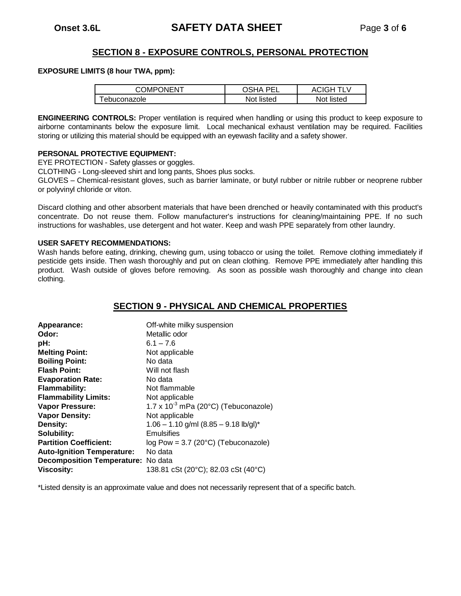### **SECTION 8 - EXPOSURE CONTROLS, PERSONAL PROTECTION**

#### **EXPOSURE LIMITS (8 hour TWA, ppm):**

| <b>COMPONENT</b>    | <b>AH2C</b><br>DE) | <b>ACIGH TLV</b> |
|---------------------|--------------------|------------------|
| <b>Febuconazole</b> | Not listed         | Not listed       |

**ENGINEERING CONTROLS:** Proper ventilation is required when handling or using this product to keep exposure to airborne contaminants below the exposure limit. Local mechanical exhaust ventilation may be required. Facilities storing or utilizing this material should be equipped with an eyewash facility and a safety shower.

#### **PERSONAL PROTECTIVE EQUIPMENT:**

EYE PROTECTION - Safety glasses or goggles.

CLOTHING - Long-sleeved shirt and long pants, Shoes plus socks.

GLOVES – Chemical-resistant gloves, such as barrier laminate, or butyl rubber or nitrile rubber or neoprene rubber or polyvinyl chloride or viton.

Discard clothing and other absorbent materials that have been drenched or heavily contaminated with this product's concentrate. Do not reuse them. Follow manufacturer's instructions for cleaning/maintaining PPE. If no such instructions for washables, use detergent and hot water. Keep and wash PPE separately from other laundry.

#### **USER SAFETY RECOMMENDATIONS:**

Wash hands before eating, drinking, chewing gum, using tobacco or using the toilet. Remove clothing immediately if pesticide gets inside. Then wash thoroughly and put on clean clothing. Remove PPE immediately after handling this product. Wash outside of gloves before removing. As soon as possible wash thoroughly and change into clean clothing.

### **SECTION 9 - PHYSICAL AND CHEMICAL PROPERTIES**

| Appearance:                        | Off-white milky suspension                           |
|------------------------------------|------------------------------------------------------|
| Odor:                              | Metallic odor                                        |
| pH:                                | $6.1 - 7.6$                                          |
| <b>Melting Point:</b>              | Not applicable                                       |
| <b>Boiling Point:</b>              | No data                                              |
| <b>Flash Point:</b>                | Will not flash                                       |
| <b>Evaporation Rate:</b>           | No data                                              |
| <b>Flammability:</b>               | Not flammable                                        |
| <b>Flammability Limits:</b>        | Not applicable                                       |
| Vapor Pressure:                    | 1.7 x $10^{-3}$ mPa (20 $^{\circ}$ C) (Tebuconazole) |
| <b>Vapor Density:</b>              | Not applicable                                       |
| Density:                           | $1.06 - 1.10$ g/ml $(8.85 - 9.18$ lb/gl)*            |
| Solubility:                        | Emulsifies                                           |
| <b>Partition Coefficient:</b>      | log Pow = $3.7$ (20 $^{\circ}$ C) (Tebuconazole)     |
| <b>Auto-Ignition Temperature:</b>  | No data                                              |
| Decomposition Temperature: No data |                                                      |
| <b>Viscosity:</b>                  | 138.81 cSt (20°C); 82.03 cSt (40°C)                  |

\*Listed density is an approximate value and does not necessarily represent that of a specific batch.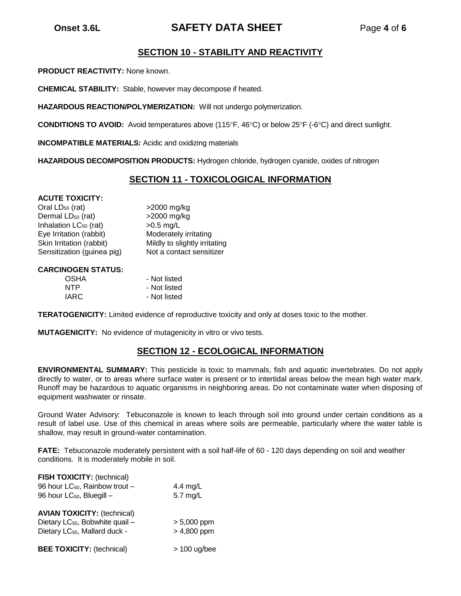# **Onset 3.6L SAFETY DATA SHEET** Page **4** of **6**

### **SECTION 10 - STABILITY AND REACTIVITY**

**PRODUCT REACTIVITY:** None known.

**CHEMICAL STABILITY:** Stable, however may decompose if heated.

**HAZARDOUS REACTION/POLYMERIZATION:** Will not undergo polymerization.

**CONDITIONS TO AVOID:** Avoid temperatures above (115°F, 46°C) or below 25°F (-6°C) and direct sunlight.

**INCOMPATIBLE MATERIALS:** Acidic and oxidizing materials

**HAZARDOUS DECOMPOSITION PRODUCTS:** Hydrogen chloride, hydrogen cyanide, oxides of nitrogen

### **SECTION 11 - TOXICOLOGICAL INFORMATION**

#### **ACUTE TOXICITY:**

Oral  $LD_{50}$  (rat)  $>2000$  mg/kg Dermal LD<sub>50</sub> (rat) >2000 mg/kg Inhalation  $LC_{50}$  (rat)  $>0.5$  mg/L Eye Irritation (rabbit) Moderately irritating Skin Irritation (rabbit) Mildly to slightly irritating Sensitization (guinea pig) Not a contact sensitizer

#### **CARCINOGEN STATUS:**

| <b>OSHA</b> | - Not listed |
|-------------|--------------|
| <b>NTP</b>  | - Not listed |
| <b>IARC</b> | - Not listed |

**TERATOGENICITY:** Limited evidence of reproductive toxicity and only at doses toxic to the mother.

**MUTAGENICITY:** No evidence of mutagenicity in vitro or vivo tests.

### **SECTION 12 - ECOLOGICAL INFORMATION**

**ENVIRONMENTAL SUMMARY:** This pesticide is toxic to mammals, fish and aquatic invertebrates. Do not apply directly to water, or to areas where surface water is present or to intertidal areas below the mean high water mark. Runoff may be hazardous to aquatic organisms in neighboring areas. Do not contaminate water when disposing of equipment washwater or rinsate.

Ground Water Advisory: Tebuconazole is known to leach through soil into ground under certain conditions as a result of label use. Use of this chemical in areas where soils are permeable, particularly where the water table is shallow, may result in ground-water contamination.

**FATE:** Tebuconazole moderately persistent with a soil half-life of 60 - 120 days depending on soil and weather conditions. It is moderately mobile in soil.

| FISH TOXICITY: (technical)<br>96 hour LC <sub>50</sub> , Rainbow trout -<br>96 hour LC <sub>50</sub> , Bluegill -              | 4.4 mg/L<br>5.7 mg/L           |  |
|--------------------------------------------------------------------------------------------------------------------------------|--------------------------------|--|
| <b>AVIAN TOXICITY: (technical)</b><br>Dietary LC <sub>50</sub> , Bobwhite quail -<br>Dietary LC <sub>50</sub> , Mallard duck - | $> 5,000$ ppm<br>$> 4,800$ ppm |  |
| <b>BEE TOXICITY: (technical)</b>                                                                                               | $> 100$ ug/bee                 |  |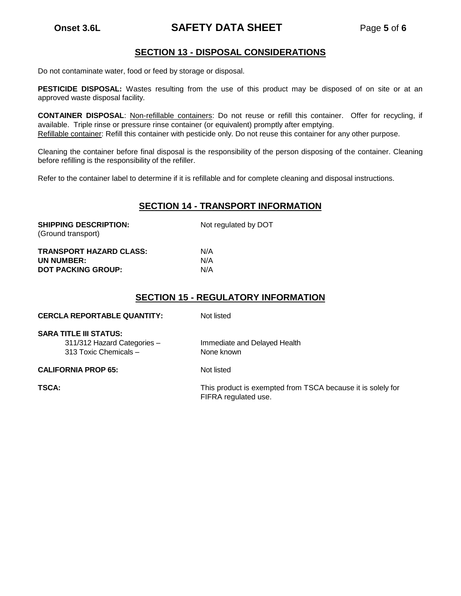# **Onset 3.6L SAFETY DATA SHEET** Page **5** of **6**

### **SECTION 13 - DISPOSAL CONSIDERATIONS**

Do not contaminate water, food or feed by storage or disposal.

**PESTICIDE DISPOSAL:** Wastes resulting from the use of this product may be disposed of on site or at an approved waste disposal facility.

**CONTAINER DISPOSAL**: Non-refillable containers: Do not reuse or refill this container. Offer for recycling, if available. Triple rinse or pressure rinse container (or equivalent) promptly after emptying. Refillable container: Refill this container with pesticide only. Do not reuse this container for any other purpose.

Cleaning the container before final disposal is the responsibility of the person disposing of the container. Cleaning before refilling is the responsibility of the refiller.

Refer to the container label to determine if it is refillable and for complete cleaning and disposal instructions.

### **SECTION 14 - TRANSPORT INFORMATION**

| <b>SHIPPING DESCRIPTION:</b><br>(Ground transport) | Not regulated by DOT |  |
|----------------------------------------------------|----------------------|--|
| <b>TRANSPORT HAZARD CLASS:</b>                     | N/A                  |  |
| UN NUMBER:                                         | N/A                  |  |
| <b>DOT PACKING GROUP:</b>                          | N/A                  |  |

### **SECTION 15 - REGULATORY INFORMATION**

| <b>CERCLA REPORTABLE QUANTITY:</b>                                                    | Not listed                                 |
|---------------------------------------------------------------------------------------|--------------------------------------------|
| <b>SARA TITLE III STATUS:</b><br>311/312 Hazard Categories -<br>313 Toxic Chemicals - | Immediate and Delayed Health<br>None known |
| <b>CALIFORNIA PROP 65:</b>                                                            | Not listed                                 |

**TSCA:** This product is exempted from TSCA because it is solely for FIFRA regulated use.